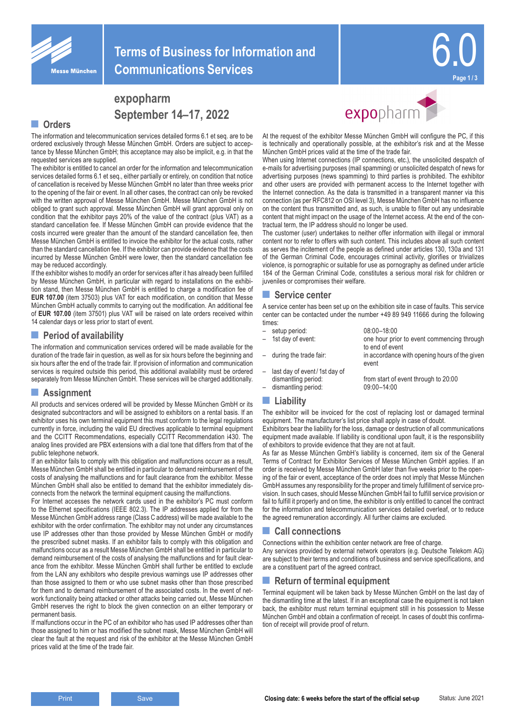

# **expopharm September 14–17, 2022**

#### **■ Orders**

The information and telecommunication services detailed forms 6.1 et seq. are to be ordered exclusively through Messe München GmbH. Orders are subject to acceptance by Messe München GmbH; this acceptance may also be implicit, e.g. in that the requested services are supplied.

The exhibitor is entitled to cancel an order for the information and telecommunication services detailed forms 6.1 et seq., either partially or entirely, on condition that notice of cancellation is received by Messe München GmbH no later than three weeks prior to the opening of the fair or event. In all other cases, the contract can only be revoked with the written approval of Messe München GmbH. Messe München GmbH is not obliged to grant such approval. Messe München GmbH will grant approval only on condition that the exhibitor pays 20% of the value of the contract (plus VAT) as a standard cancellation fee. If Messe München GmbH can provide evidence that the costs incurred were greater than the amount of the standard cancellation fee, then Messe München GmbH is entitled to invoice the exhibitor for the actual costs, rather than the standard cancellation fee. If the exhibitor can provide evidence that the costs incurred by Messe München GmbH were lower, then the standard cancellation fee may be reduced accordingly.

If the exhibitor wishes to modify an order for services after it has already been fulfilled by Messe München GmbH, in particular with regard to installations on the exhibition stand, then Messe München GmbH is entitled to charge a modification fee of **EUR 107.00** (item 37503) plus VAT for each modification, on condition that Messe München GmbH actually commits to carrying out the modification. An additional fee of **EUR 107.00** (item 37501) plus VAT will be raised on late orders received within 14 calendar days or less prior to start of event.

## **■ Period of availability**

The information and communication services ordered will be made available for the duration of the trade fair in question, as well as for six hours before the beginning and six hours after the end of the trade fair. If provision of information and communication services is required outside this period, this additional availability must be ordered separately from Messe München GmbH. These services will be charged additionally.

### **■ Assignment**

All products and services ordered will be provided by Messe München GmbH or its designated subcontractors and will be assigned to exhibitors on a rental basis. If an exhibitor uses his own terminal equipment this must conform to the legal regulations currently in force, including the valid EU directives applicable to terminal equipment and the CCITT Recommendations, especially CCITT Recommendation i430. The analog lines provided are PBX extensions with a dial tone that differs from that of the public telephone network.

If an exhibitor fails to comply with this obligation and malfunctions occurr as a result, Messe München GmbH shall be entitled in particular to demand reimbursement of the costs of analysing the malfunctions and for fault clearance from the exhibitor. Messe München GmbH shall also be entitled to demand that the exhibitor immediately disconnects from the network the terminal equipment causing the malfunctions.

For Internet accesses the network cards used in the exhibitor's PC must conform to the Ethernet specifications (IEEE 802.3). The IP addresses applied for from the Messe München GmbH address range (Class C address) will be made available to the exhibitor with the order confirmation. The exhibitor may not under any circumstances use IP addresses other than those provided by Messe München GmbH or modify the prescribed subnet masks. If an exhibitor fails to comply with this obligation and malfunctions occur as a result Messe München GmbH shall be entitled in particular to demand reimbursement of the costs of analysing the malfunctions and for fault clearance from the exhibitor. Messe München GmbH shall further be entitled to exclude from the LAN any exhibitors who despite previous warnings use IP addresses other than those assigned to them or who use subnet masks other than those prescribed for them and to demand reimbursement of the associated costs. In the event of network functionality being attacked or other attacks being carried out, Messe München GmbH reserves the right to block the given connection on an either temporary or permanent basis.

If malfunctions occur in the PC of an exhibitor who has used IP addresses other than those assigned to him or has modified the subnet mask, Messe München GmbH will clear the fault at the request and risk of the exhibitor at the Messe München GmbH prices valid at the time of the trade fair.



At the request of the exhibitor Messe München GmbH will configure the PC, if this is technically and operationally possible, at the exhibitor's risk and at the Messe München GmbH prices valid at the time of the trade fair.

When using Internet connections (IP connections, etc.), the unsolicited despatch of e-mails for advertising purposes (mail spamming) or unsolicited despatch of news for advertising purposes (news spamming) to third parties is prohibited. The exhibitor and other users are provided with permanent access to the Internet together with the Internet connection. As the data is transmitted in a transparent manner via this connection (as per RFC812 on OSI level 3), Messe München GmbH has no influence on the content thus transmitted and, as such, is unable to filter out any undesirable content that might impact on the usage of the Internet access. At the end of the contractual term, the IP address should no longer be used.

The customer (user) undertakes to neither offer information with illegal or immoral content nor to refer to offers with such content. This includes above all such content as serves the incitement of the people as defined under articles 130, 130a and 131 of the German Criminal Code, encourages criminal activity, glorifies or trivializes violence, is pornographic or suitable for use as pornography as defined under article 184 of the German Criminal Code, constitutes a serious moral risk for children or juveniles or compromises their welfare.

#### **■ Service center**

A service center has been set up on the exhibition site in case of faults. This service center can be contacted under the number +49 89 949 11666 during the following times:

event

one hour prior to event commencing through

- setup period: 08:00–18:00
- 
- to end of event during the trade fair: in accordance with opening hours of the given
- 
- last day of event/1st day of dismantling period:<br>  $\begin{array}{r}\n\text{dissmanting period:}\n\end{array} \qquad \qquad \begin{array}{r}\n19:00-14:00\n\end{array}$ dismantling period:
- 
- **■ Liability**

The exhibitor will be invoiced for the cost of replacing lost or damaged terminal equipment. The manufacturer's list price shall apply in case of doubt.

Exhibitors bear the liability for the loss, damage or destruction of all communications equipment made available. If liability is conditional upon fault, it is the responsibility of exhibitors to provide evidence that they are not at fault.

As far as Messe München GmbH's liability is concerned, item six of the General Terms of Contract for Exhibitor Services of Messe München GmbH applies. If an order is received by Messe München GmbH later than five weeks prior to the opening of the fair or event, acceptance of the order does not imply that Messe München GmbH assumes any responsibility for the proper and timely fulfillment of service provision. In such cases, should Messe München GmbH fail to fulfill service provision or fail to fulfill it properly and on time, the exhibitor is only entitled to cancel the contract for the information and telecommunication services detailed overleaf, or to reduce the agreed remuneration accordingly. All further claims are excluded.

### **■ Call connections**

Connections within the exhibition center network are free of charge. Any services provided by external network operators (e.g. Deutsche Telekom AG) are subject to their terms and conditions of business and service specifications, and are a constituent part of the agreed contract.

#### **■ Return of terminal equipment**

Terminal equipment will be taken back by Messe München GmbH on the last day of the dismantling time at the latest. If in an exceptional case the equipment is not taken back, the exhibitor must return terminal equipment still in his possession to Messe München GmbH and obtain a confirmation of receipt. In cases of doubt this confirmation of receipt will provide proof of return.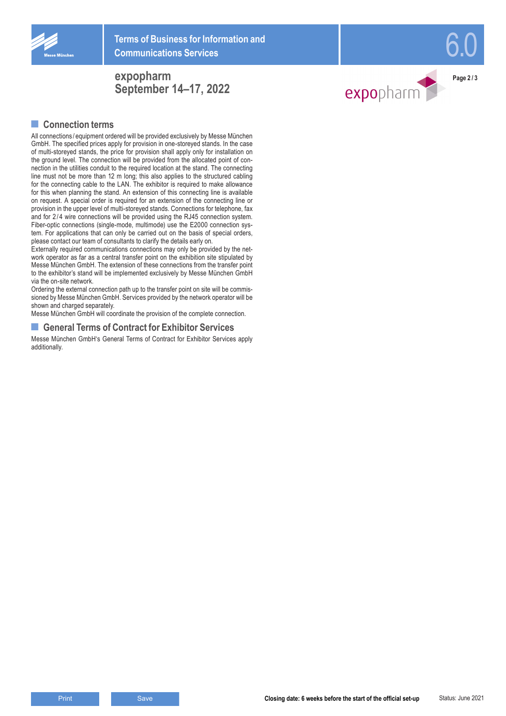

# **expopharm September 14–17, 2022**

## **■ Connection terms**

All connections / equipment ordered will be provided exclusively by Messe München GmbH. The specified prices apply for provision in one-storeyed stands. In the case of multi-storeyed stands, the price for provision shall apply only for installation on the ground level. The connection will be provided from the allocated point of con nection in the utilities conduit to the required location at the stand. The connecting line must not be more than 12 m long; this also applies to the structured cabling for the connecting cable to the LAN. The exhibitor is required to make allowance for this when planning the stand. An extension of this connecting line is available on request. A special order is required for an extension of the connecting line or provision in the upper level of multi-storeyed stands. Connections for telephone, fax and for 2 / 4 wire connections will be provided using the RJ45 connection system. Fiber-optic connections (single-mode, multimode) use the E2000 connection sys tem. For applications that can only be carried out on the basis of special orders, please contact our team of consultants to clarify the details early on.

Externally required communications connections may only be provided by the net work operator as far as a central transfer point on the exhibition site stipulated by Messe München GmbH. The extension of these connections from the transfer point to the exhibitor's stand will be implemented exclusively by Messe München GmbH via the on-site network.

Ordering the external connection path up to the transfer point on site will be commis sioned by Messe München GmbH. Services provided by the network operator will be shown and charged separately.

Messe München GmbH will coordinate the provision of the complete connection.

#### ■ **General Terms of Contract for Exhibitor Services**

Messe München GmbH's General Terms of Contract for Exhibitor Services apply additionally.



6.0